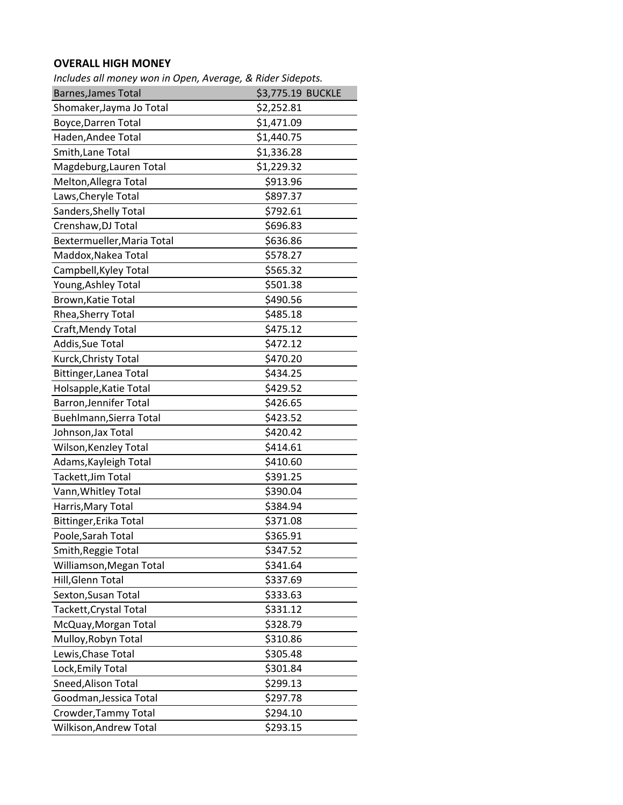## **OVERALL HIGH MONEY**

| Includes all money won in Open, Average, & Rider Sidepots. |                   |
|------------------------------------------------------------|-------------------|
| <b>Barnes, James Total</b>                                 | \$3,775.19 BUCKLE |
| Shomaker, Jayma Jo Total                                   | \$2,252.81        |
| <b>Boyce, Darren Total</b>                                 | \$1,471.09        |
| Haden, Andee Total                                         | \$1,440.75        |
| Smith, Lane Total                                          | \$1,336.28        |
| Magdeburg, Lauren Total                                    | \$1,229.32        |
| Melton, Allegra Total                                      | \$913.96          |
| Laws, Cheryle Total                                        | \$897.37          |
| Sanders, Shelly Total                                      | \$792.61          |
| Crenshaw, DJ Total                                         | \$696.83          |
| Bextermueller, Maria Total                                 | \$636.86          |
| Maddox, Nakea Total                                        | \$578.27          |
| Campbell, Kyley Total                                      | \$565.32          |
| Young, Ashley Total                                        | \$501.38          |
| Brown, Katie Total                                         | \$490.56          |
| Rhea, Sherry Total                                         | \$485.18          |
| Craft, Mendy Total                                         | \$475.12          |
| Addis, Sue Total                                           | \$472.12          |
| Kurck, Christy Total                                       | \$470.20          |
| Bittinger, Lanea Total                                     | \$434.25          |
| Holsapple, Katie Total                                     | \$429.52          |
| Barron, Jennifer Total                                     | \$426.65          |
| Buehlmann, Sierra Total                                    | \$423.52          |
| Johnson, Jax Total                                         | \$420.42          |
| Wilson, Kenzley Total                                      | \$414.61          |
| Adams, Kayleigh Total                                      | \$410.60          |
| Tackett, Jim Total                                         | \$391.25          |
| Vann, Whitley Total                                        | \$390.04          |
| Harris, Mary Total                                         | \$384.94          |
| Bittinger, Erika Total                                     | \$371.08          |
| Poole, Sarah Total                                         | \$365.91          |
| Smith, Reggie Total                                        | \$347.52          |
| Williamson, Megan Total                                    | \$341.64          |
| Hill, Glenn Total                                          | \$337.69          |
| Sexton, Susan Total                                        | \$333.63          |
| Tackett, Crystal Total                                     | \$331.12          |
| McQuay, Morgan Total                                       | \$328.79          |
| Mulloy, Robyn Total                                        | \$310.86          |
| Lewis, Chase Total                                         | \$305.48          |
| Lock, Emily Total                                          | \$301.84          |
| Sneed, Alison Total                                        | \$299.13          |
| Goodman, Jessica Total                                     | \$297.78          |
| Crowder, Tammy Total                                       | \$294.10          |
| Wilkison, Andrew Total                                     | \$293.15          |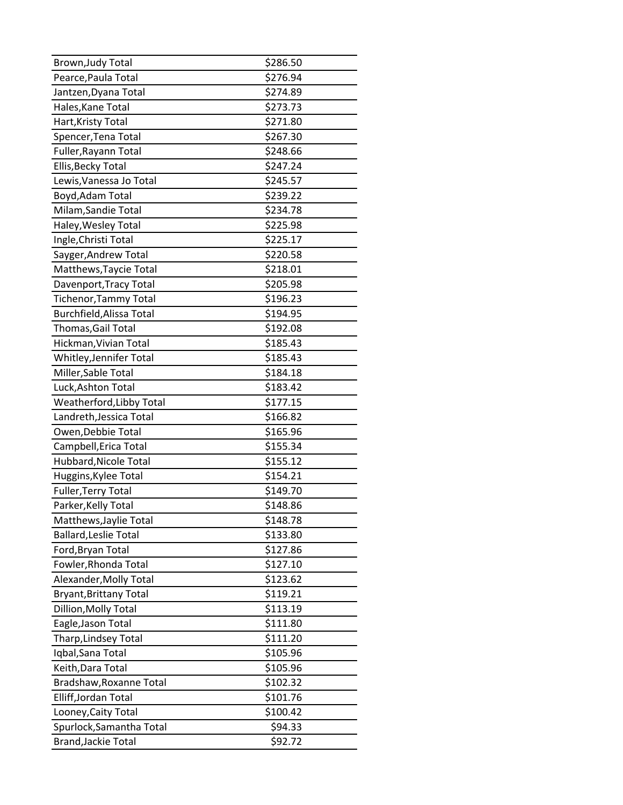| Brown, Judy Total             | \$286.50 |
|-------------------------------|----------|
| Pearce, Paula Total           | \$276.94 |
| Jantzen, Dyana Total          | \$274.89 |
| Hales, Kane Total             | \$273.73 |
| Hart, Kristy Total            | \$271.80 |
| Spencer, Tena Total           | \$267.30 |
| Fuller, Rayann Total          | \$248.66 |
| Ellis, Becky Total            | \$247.24 |
| Lewis, Vanessa Jo Total       | \$245.57 |
| Boyd, Adam Total              | \$239.22 |
| Milam, Sandie Total           | \$234.78 |
| Haley, Wesley Total           | \$225.98 |
| Ingle, Christi Total          | \$225.17 |
| Sayger, Andrew Total          | \$220.58 |
| Matthews, Taycie Total        | \$218.01 |
| Davenport, Tracy Total        | \$205.98 |
| Tichenor, Tammy Total         | \$196.23 |
| Burchfield, Alissa Total      | \$194.95 |
| Thomas, Gail Total            | \$192.08 |
| Hickman, Vivian Total         | \$185.43 |
| Whitley, Jennifer Total       | \$185.43 |
| Miller, Sable Total           | \$184.18 |
| Luck, Ashton Total            | \$183.42 |
| Weatherford, Libby Total      | \$177.15 |
| Landreth, Jessica Total       | \$166.82 |
| Owen, Debbie Total            | \$165.96 |
| Campbell, Erica Total         | \$155.34 |
| Hubbard, Nicole Total         | \$155.12 |
| Huggins, Kylee Total          | \$154.21 |
| Fuller, Terry Total           | \$149.70 |
| Parker, Kelly Total           | \$148.86 |
| Matthews, Jaylie Total        | \$148.78 |
| <b>Ballard, Leslie Total</b>  | \$133.80 |
| Ford, Bryan Total             | \$127.86 |
| Fowler, Rhonda Total          | \$127.10 |
| Alexander, Molly Total        | \$123.62 |
| <b>Bryant, Brittany Total</b> | \$119.21 |
| Dillion, Molly Total          | \$113.19 |
| Eagle, Jason Total            | \$111.80 |
| Tharp, Lindsey Total          | \$111.20 |
| Iqbal, Sana Total             | \$105.96 |
| Keith, Dara Total             | \$105.96 |
| Bradshaw, Roxanne Total       | \$102.32 |
| Elliff, Jordan Total          | \$101.76 |
| Looney, Caity Total           | \$100.42 |
| Spurlock, Samantha Total      | \$94.33  |
| Brand, Jackie Total           | \$92.72  |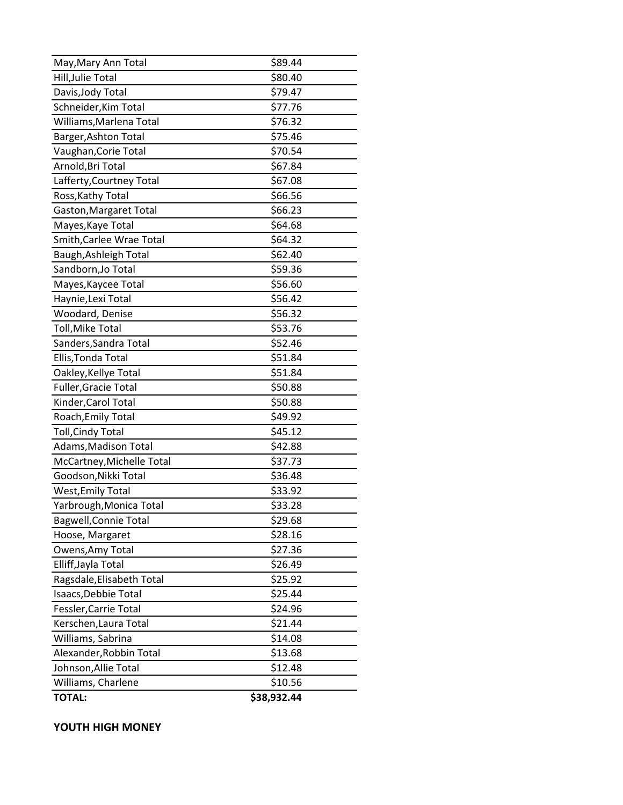| May, Mary Ann Total          | \$89.44     |
|------------------------------|-------------|
| Hill, Julie Total            | \$80.40     |
| Davis, Jody Total            | \$79.47     |
| Schneider, Kim Total         | \$77.76     |
| Williams, Marlena Total      | \$76.32     |
| Barger, Ashton Total         | \$75.46     |
| Vaughan, Corie Total         | \$70.54     |
| Arnold, Bri Total            | \$67.84     |
| Lafferty, Courtney Total     | \$67.08     |
| Ross, Kathy Total            | \$66.56     |
| Gaston, Margaret Total       | \$66.23     |
| Mayes, Kaye Total            | \$64.68     |
| Smith, Carlee Wrae Total     | \$64.32     |
| Baugh, Ashleigh Total        | \$62.40     |
| Sandborn, Jo Total           | \$59.36     |
| Mayes, Kaycee Total          | \$56.60     |
| Haynie, Lexi Total           | \$56.42     |
| Woodard, Denise              | \$56.32     |
| Toll, Mike Total             | \$53.76     |
| Sanders, Sandra Total        | \$52.46     |
| Ellis, Tonda Total           | \$51.84     |
| Oakley, Kellye Total         | \$51.84     |
| Fuller, Gracie Total         | \$50.88     |
| Kinder, Carol Total          | \$50.88     |
| Roach, Emily Total           | \$49.92     |
| <b>Toll, Cindy Total</b>     | \$45.12     |
| Adams, Madison Total         | \$42.88     |
| McCartney, Michelle Total    | \$37.73     |
| Goodson, Nikki Total         | \$36.48     |
| <b>West, Emily Total</b>     | \$33.92     |
| Yarbrough, Monica Total      | \$33.28     |
| <b>Bagwell, Connie Total</b> | \$29.68     |
| Hoose, Margaret              | \$28.16     |
| Owens, Amy Total             | \$27.36     |
| Elliff, Jayla Total          | \$26.49     |
| Ragsdale, Elisabeth Total    | \$25.92     |
| Isaacs, Debbie Total         | \$25.44     |
| Fessler, Carrie Total        | \$24.96     |
| Kerschen, Laura Total        | \$21.44     |
| Williams, Sabrina            | \$14.08     |
| Alexander, Robbin Total      | \$13.68     |
| Johnson, Allie Total         | \$12.48     |
| Williams, Charlene           | \$10.56     |
| <b>TOTAL:</b>                | \$38,932.44 |

## **YOUTH HIGH MONEY**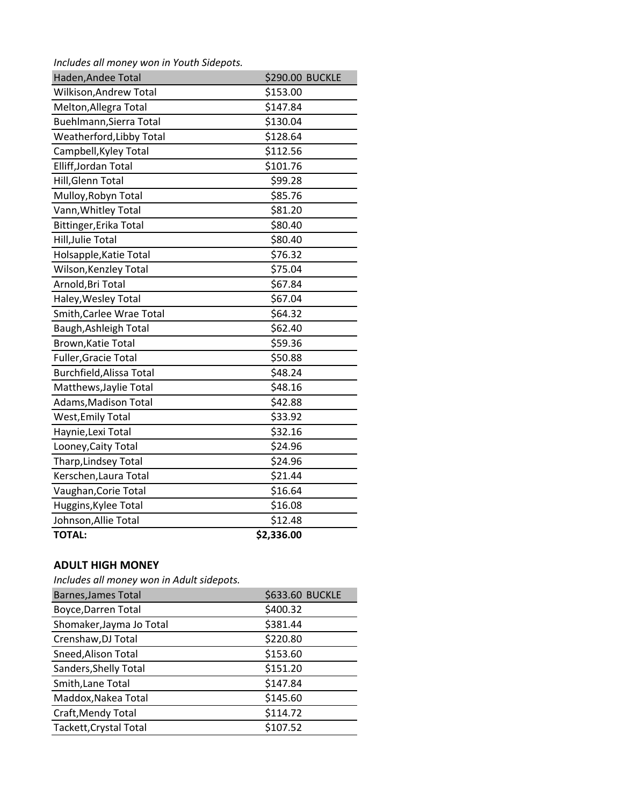*Includes all money won in Youth Sidepots.* 

| Haden, Andee Total       | \$290.00 BUCKLE |
|--------------------------|-----------------|
| Wilkison, Andrew Total   | \$153.00        |
| Melton, Allegra Total    | \$147.84        |
| Buehlmann, Sierra Total  | \$130.04        |
| Weatherford, Libby Total | \$128.64        |
| Campbell, Kyley Total    | \$112.56        |
| Elliff, Jordan Total     | \$101.76        |
| Hill, Glenn Total        | \$99.28         |
| Mulloy, Robyn Total      | \$85.76         |
| Vann, Whitley Total      | \$81.20         |
| Bittinger, Erika Total   | \$80.40         |
| Hill, Julie Total        | \$80.40         |
| Holsapple, Katie Total   | \$76.32         |
| Wilson, Kenzley Total    | \$75.04         |
| Arnold, Bri Total        | \$67.84         |
| Haley, Wesley Total      | \$67.04         |
| Smith, Carlee Wrae Total | \$64.32         |
| Baugh, Ashleigh Total    | \$62.40         |
| Brown, Katie Total       | \$59.36         |
| Fuller, Gracie Total     | \$50.88         |
| Burchfield, Alissa Total | \$48.24         |
| Matthews, Jaylie Total   | \$48.16         |
| Adams, Madison Total     | \$42.88         |
| <b>West, Emily Total</b> | \$33.92         |
| Haynie, Lexi Total       | \$32.16         |
| Looney, Caity Total      | \$24.96         |
| Tharp, Lindsey Total     | \$24.96         |
| Kerschen, Laura Total    | \$21.44         |
| Vaughan, Corie Total     | \$16.64         |
| Huggins, Kylee Total     | \$16.08         |
| Johnson, Allie Total     | \$12.48         |
| <b>TOTAL:</b>            | \$2,336.00      |

## **ADULT HIGH MONEY**

*Includes all money won in Adult sidepots.*

| <b>Barnes, James Total</b> | \$633.60 BUCKLE |
|----------------------------|-----------------|
| <b>Boyce, Darren Total</b> | \$400.32        |
| Shomaker, Jayma Jo Total   | \$381.44        |
| Crenshaw, DJ Total         | \$220.80        |
| Sneed, Alison Total        | \$153.60        |
| Sanders, Shelly Total      | \$151.20        |
| Smith, Lane Total          | \$147.84        |
| Maddox, Nakea Total        | \$145.60        |
| Craft, Mendy Total         | \$114.72        |
| Tackett, Crystal Total     | \$107.52        |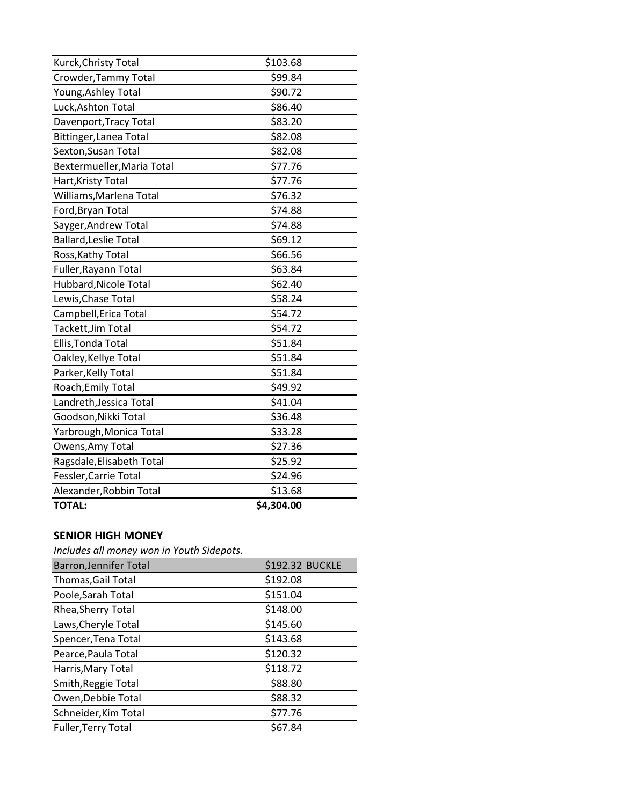| Kurck, Christy Total         | \$103.68   |
|------------------------------|------------|
| Crowder, Tammy Total         | \$99.84    |
| Young, Ashley Total          | \$90.72    |
| Luck, Ashton Total           | \$86.40    |
| Davenport, Tracy Total       | \$83.20    |
| Bittinger, Lanea Total       | \$82.08    |
| Sexton, Susan Total          | \$82.08    |
| Bextermueller, Maria Total   | \$77.76    |
| Hart, Kristy Total           | \$77.76    |
| Williams, Marlena Total      | \$76.32    |
| Ford, Bryan Total            | \$74.88    |
| Sayger, Andrew Total         | \$74.88    |
| <b>Ballard, Leslie Total</b> | \$69.12    |
| Ross, Kathy Total            | \$66.56    |
| Fuller, Rayann Total         | \$63.84    |
| Hubbard, Nicole Total        | \$62.40    |
| Lewis, Chase Total           | \$58.24    |
| Campbell, Erica Total        | \$54.72    |
| Tackett, Jim Total           | \$54.72    |
| Ellis, Tonda Total           | \$51.84    |
| Oakley, Kellye Total         | \$51.84    |
| Parker, Kelly Total          | \$51.84    |
| Roach, Emily Total           | \$49.92    |
| Landreth, Jessica Total      | \$41.04    |
| Goodson, Nikki Total         | \$36.48    |
| Yarbrough, Monica Total      | \$33.28    |
| Owens, Amy Total             | \$27.36    |
| Ragsdale, Elisabeth Total    | \$25.92    |
| Fessler, Carrie Total        | \$24.96    |
| Alexander, Robbin Total      | \$13.68    |
| <b>TOTAL:</b>                | \$4,304.00 |

## **SENIOR HIGH MONEY**

*Includes all money won in Youth Sidepots.* 

| <b>Barron, Jennifer Total</b> | <b>\$192.32 BUCKLE</b> |
|-------------------------------|------------------------|
| Thomas, Gail Total            | \$192.08               |
| Poole, Sarah Total            | \$151.04               |
| Rhea, Sherry Total            | \$148.00               |
| Laws, Cheryle Total           | \$145.60               |
| Spencer, Tena Total           | \$143.68               |
| Pearce, Paula Total           | \$120.32               |
| Harris, Mary Total            | \$118.72               |
| Smith, Reggie Total           | \$88.80                |
| Owen, Debbie Total            | \$88.32                |
| Schneider, Kim Total          | \$77.76                |
| <b>Fuller, Terry Total</b>    | \$67.84                |